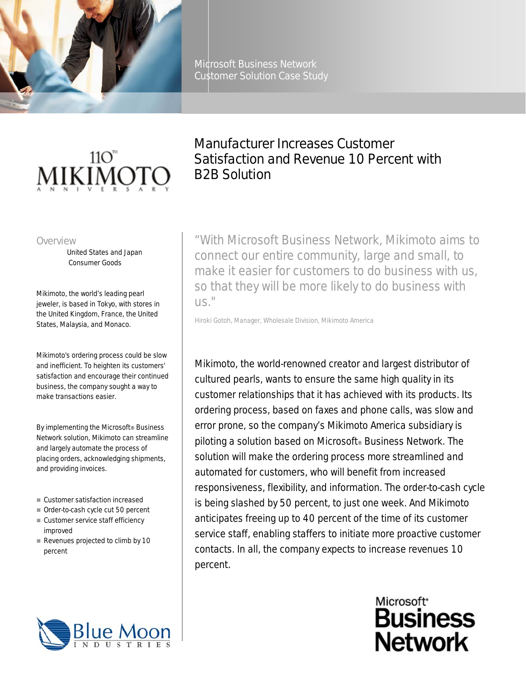

Microsoft Business Network Customer Solution Case Study



## Overview

 United States and Japan Consumer Goods

Mikimoto, the world's leading pearl jeweler, is based in Tokyo, with stores in the United Kingdom, France, the United States, Malaysia, and Monaco.

Mikimoto's ordering process could be slow and inefficient. To heighten its customers' satisfaction and encourage their continued business, the company sought a way to make transactions easier.

By implementing the Microsoft<sup>®</sup> Business Network solution, Mikimoto can streamline and largely automate the process of placing orders, acknowledging shipments, and providing invoices.

- Customer satisfaction increased
- Order-to-cash cycle cut 50 percent
- Customer service staff efficiency improved
- Revenues projected to climb by 10 percent



# Manufacturer Increases Customer Satisfaction and Revenue 10 Percent with B2B Solution

 "With Microsoft Business Network, Mikimoto aims to connect our entire community, large and small, to make it easier for customers to do business with us, so that they will be more likely to do business with us."

Hiroki Gotoh, Manager, Wholesale Division, Mikimoto America

Mikimoto, the world-renowned creator and largest distributor of cultured pearls, wants to ensure the same high quality in its customer relationships that it has achieved with its products. Its ordering process, based on faxes and phone calls, was slow and error prone, so the company's Mikimoto America subsidiary is piloting a solution based on Microsoft® Business Network. The solution will make the ordering process more streamlined and automated for customers, who will benefit from increased responsiveness, flexibility, and information. The order-to-cash cycle is being slashed by 50 percent, to just one week. And Mikimoto anticipates freeing up to 40 percent of the time of its customer service staff, enabling staffers to initiate more proactive customer contacts. In all, the company expects to increase revenues 10 percent.

> Microsoft<sup>+</sup><br>**Business Network**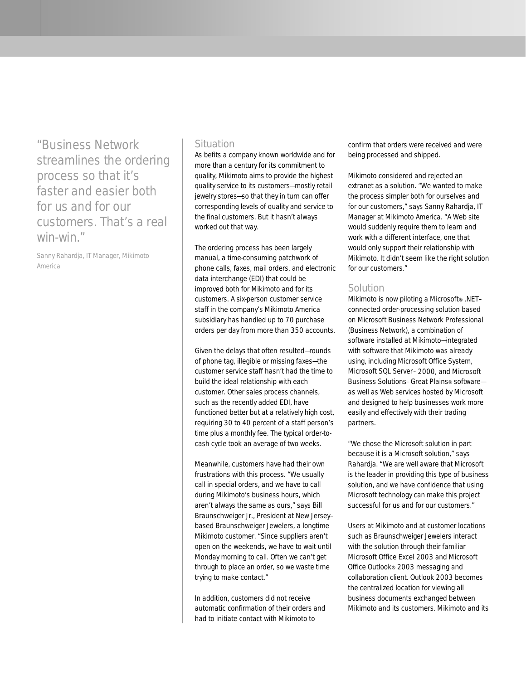"Business Network streamlines the ordering process so that it's faster and easier both for us and for our customers. That's a real win-win."

Sanny Rahardja, IT Manager, Mikimoto America

# Situation

As befits a company known worldwide and for more than a century for its commitment to quality, Mikimoto aims to provide the highest quality service to its customers—mostly retail jewelry stores—so that they in turn can offer corresponding levels of quality and service to the final customers. But it hasn't always worked out that way.

The ordering process has been largely manual, a time-consuming patchwork of phone calls, faxes, mail orders, and electronic data interchange (EDI) that could be improved both for Mikimoto and for its customers. A six-person customer service staff in the company's Mikimoto America subsidiary has handled up to 70 purchase orders per day from more than 350 accounts.

Given the delays that often resulted—rounds of phone tag, illegible or missing faxes—the customer service staff hasn't had the time to build the ideal relationship with each customer. Other sales process channels, such as the recently added EDI, have functioned better but at a relatively high cost, requiring 30 to 40 percent of a staff person's time plus a monthly fee. The typical order-tocash cycle took an average of two weeks.

Meanwhile, customers have had their own frustrations with this process. "We usually call in special orders, and we have to call during Mikimoto's business hours, which aren't always the same as ours," says Bill Braunschweiger Jr., President at New Jersey– based Braunschweiger Jewelers, a longtime Mikimoto customer. "Since suppliers aren't open on the weekends, we have to wait until Monday morning to call. Often we can't get through to place an order, so we waste time trying to make contact."

In addition, customers did not receive automatic confirmation of their orders and had to initiate contact with Mikimoto to

confirm that orders were received and were being processed and shipped.

Mikimoto considered and rejected an extranet as a solution. "We wanted to make the process simpler both for ourselves and for our customers," says Sanny Rahardja, IT Manager at Mikimoto America. "A Web site would suddenly require them to learn and work with a different interface, one that would only support their relationship with Mikimoto. It didn't seem like the right solution for our customers."

# **Solution**

Mikimoto is now piloting a Microsoft® .NET– connected order-processing solution based on Microsoft Business Network Professional (Business Network), a combination of software installed at Mikimoto—integrated with software that Mikimoto was already using, including Microsoft Office System, Microsoft SQL Server™ 2000, and Microsoft Business Solutions–Great Plains® software as well as Web services hosted by Microsoft and designed to help businesses work more easily and effectively with their trading partners.

"We chose the Microsoft solution in part because it is a Microsoft solution," says Rahardja. "We are well aware that Microsoft is the leader in providing this type of business solution, and we have confidence that using Microsoft technology can make this project successful for us and for our customers."

Users at Mikimoto and at customer locations such as Braunschweiger Jewelers interact with the solution through their familiar Microsoft Office Excel 2003 and Microsoft Office Outlook® 2003 messaging and collaboration client. Outlook 2003 becomes the centralized location for viewing all business documents exchanged between Mikimoto and its customers. Mikimoto and its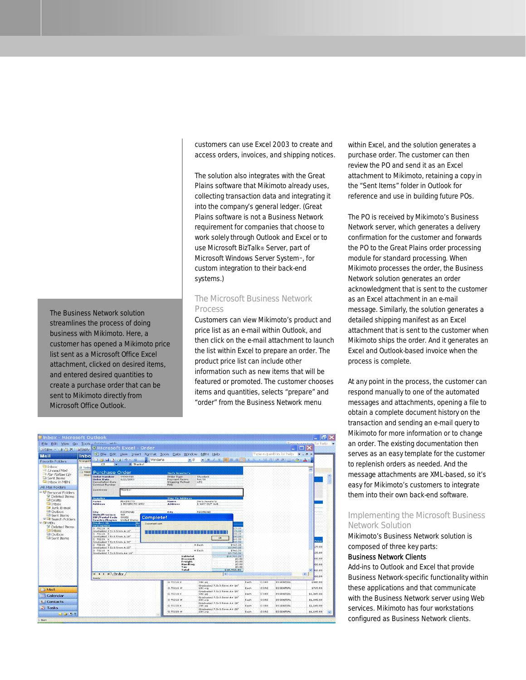customers can use Excel 2003 to create and access orders, invoices, and shipping notices.

The solution also integrates with the Great Plains software that Mikimoto already uses, collecting transaction data and integrating it into the company's general ledger. (Great Plains software is not a Business Network requirement for companies that choose to work solely through Outlook and Excel or to use Microsoft BizTalk® Server, part of Microsoft Windows Server System™, for custom integration to their back-end systems.)

## The Microsoft Business Network Process

Customers can view Mikimoto's product and price list as an e-mail within Outlook, and then click on the e-mail attachment to launch the list within Excel to prepare an order. The product price list can include other information such as new items that will be featured or promoted. The customer chooses items and quantities, selects "prepare" and "order" from the Business Network menu

within Excel, and the solution generates a purchase order. The customer can then review the PO and send it as an Excel attachment to Mikimoto, retaining a copy in the "Sent Items" folder in Outlook for reference and use in building future POs.

The PO is received by Mikimoto's Business Network server, which generates a delivery confirmation for the customer and forwards the PO to the Great Plains order processing module for standard processing. When Mikimoto processes the order, the Business Network solution generates an order acknowledgment that is sent to the customer as an Excel attachment in an e-mail message. Similarly, the solution generates a detailed shipping manifest as an Excel attachment that is sent to the customer when Mikimoto ships the order. And it generates an Excel and Outlook-based invoice when the process is complete.

At any point in the process, the customer can respond manually to one of the automated messages and attachments, opening a file to obtain a complete document history on the transaction and sending an e-mail query to Mikimoto for more information or to change an order. The existing documentation then serves as an easy template for the customer to replenish orders as needed. And the message attachments are XML-based, so it's easy for Mikimoto's customers to integrate them into their own back-end software.

## Implementing the Microsoft Business Network Solution

Mikimoto's Business Network solution is composed of three key parts:

#### Business Network Clients

Add-ins to Outlook and Excel that provide Business Network-specific functionality within these applications and that communicate with the Business Network server using Web services. Mikimoto has four workstations configured as Business Network clients.

The Business Network solution streamlines the process of doing business with Mikimoto. Here, a customer has opened a Mikimoto price list sent as a Microsoft Office Excel attachment, clicked on desired items, and entered desired quantities to create a purchase order that can be sent to Mikimoto directly from Microsoft Office Outlook.

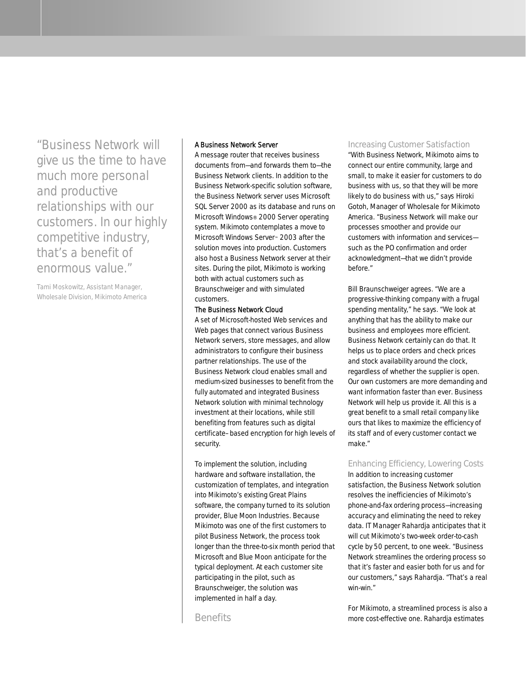"Business Network will give us the time to have much more personal and productive relationships with our customers. In our highly competitive industry, that's a benefit of enormous value."

Tami Moskowitz, Assistant Manager, Wholesale Division, Mikimoto America

#### A Business Network Server

A message router that receives business documents from—and forwards them to—the Business Network clients. In addition to the Business Network-specific solution software, the Business Network server uses Microsoft SQL Server 2000 as its database and runs on Microsoft Windows® 2000 Server operating system. Mikimoto contemplates a move to Microsoft Windows Server™ 2003 after the solution moves into production. Customers also host a Business Network server at their sites. During the pilot, Mikimoto is working both with actual customers such as Braunschweiger and with simulated customers.

#### The Business Network Cloud

A set of Microsoft-hosted Web services and Web pages that connect various Business Network servers, store messages, and allow administrators to configure their business partner relationships. The use of the Business Network cloud enables small and medium-sized businesses to benefit from the fully automated and integrated Business Network solution with minimal technology investment at their locations, while still benefiting from features such as digital certificate–based encryption for high levels of security.

To implement the solution, including hardware and software installation, the customization of templates, and integration into Mikimoto's existing Great Plains software, the company turned to its solution provider, Blue Moon Industries. Because Mikimoto was one of the first customers to pilot Business Network, the process took longer than the three-to-six month period that Microsoft and Blue Moon anticipate for the typical deployment. At each customer site participating in the pilot, such as Braunschweiger, the solution was implemented in half a day.

**Benefits** 

#### Increasing Customer Satisfaction

"With Business Network, Mikimoto aims to connect our entire community, large and small, to make it easier for customers to do business with us, so that they will be more likely to do business with us," says Hiroki Gotoh, Manager of Wholesale for Mikimoto America. "Business Network will make our processes smoother and provide our customers with information and services such as the PO confirmation and order acknowledgment—that we didn't provide before."

Bill Braunschweiger agrees. "We are a progressive-thinking company with a frugal spending mentality," he says. "We look at anything that has the ability to make our business and employees more efficient. Business Network certainly can do that. It helps us to place orders and check prices and stock availability around the clock, regardless of whether the supplier is open. Our own customers are more demanding and want information faster than ever. Business Network will help us provide it. All this is a great benefit to a small retail company like ours that likes to maximize the efficiency of its staff and of every customer contact we make."

#### Enhancing Efficiency, Lowering Costs

In addition to increasing customer satisfaction, the Business Network solution resolves the inefficiencies of Mikimoto's phone-and-fax ordering process—increasing accuracy and eliminating the need to rekey data. IT Manager Rahardja anticipates that it will cut Mikimoto's two-week order-to-cash cycle by 50 percent, to one week. "Business Network streamlines the ordering process so that it's faster and easier both for us and for our customers," says Rahardja. "That's a real win-win."

For Mikimoto, a streamlined process is also a more cost-effective one. Rahardja estimates